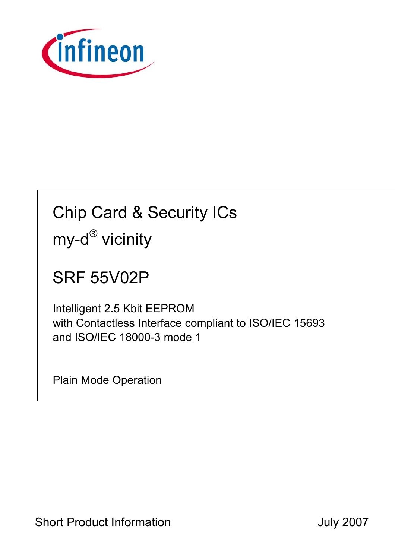

# Chip Card & Security ICs my-d<sup>®</sup> vicinity

## SRF 55V02P

Intelligent 2.5 Kbit EEPROM with Contactless Interface compliant to ISO/IEC 15693 and ISO/IEC 18000-3 mode 1

Plain Mode Operation

Short Product Information **Short Product Information July 2007**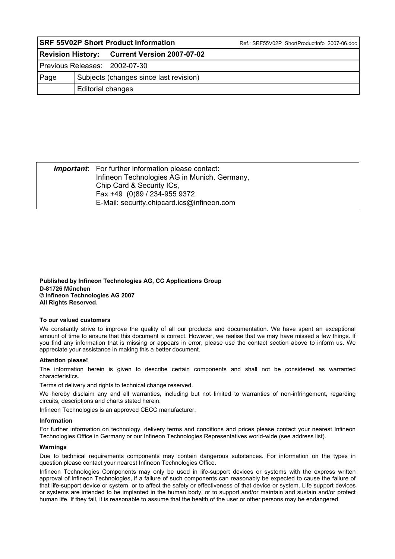|      |                   | <b>SRF 55V02P Short Product Information</b>  | Ref.: SRF55V02P ShortProductInfo 2007-06.doc |
|------|-------------------|----------------------------------------------|----------------------------------------------|
|      |                   | Revision History: Current Version 2007-07-02 |                                              |
|      |                   | Previous Releases: 2002-07-30                |                                              |
| Page |                   | Subjects (changes since last revision)       |                                              |
|      | Editorial changes |                                              |                                              |

| <b>Important:</b> For further information please contact:<br>Infineon Technologies AG in Munich, Germany, |
|-----------------------------------------------------------------------------------------------------------|
| Chip Card & Security ICs,                                                                                 |
| Fax +49 (0)89 / 234-955 9372                                                                              |
| E-Mail: security.chipcard.ics@infineon.com                                                                |

**Published by Infineon Technologies AG, CC Applications Group D-81726 München © Infineon Technologies AG 2007 All Rights Reserved.** 

#### **To our valued customers**

We constantly strive to improve the quality of all our products and documentation. We have spent an exceptional amount of time to ensure that this document is correct. However, we realise that we may have missed a few things. If you find any information that is missing or appears in error, please use the contact section above to inform us. We appreciate your assistance in making this a better document.

#### **Attention please!**

The information herein is given to describe certain components and shall not be considered as warranted characteristics.

Terms of delivery and rights to technical change reserved.

We hereby disclaim any and all warranties, including but not limited to warranties of non-infringement, regarding circuits, descriptions and charts stated herein.

Infineon Technologies is an approved CECC manufacturer.

#### **Information**

For further information on technology, delivery terms and conditions and prices please contact your nearest Infineon Technologies Office in Germany or our Infineon Technologies Representatives world-wide (see address list).

#### **Warnings**

Due to technical requirements components may contain dangerous substances. For information on the types in question please contact your nearest Infineon Technologies Office.

Infineon Technologies Components may only be used in life-support devices or systems with the express written approval of Infineon Technologies, if a failure of such components can reasonably be expected to cause the failure of that life-support device or system, or to affect the safety or effectiveness of that device or system. Life support devices or systems are intended to be implanted in the human body, or to support and/or maintain and sustain and/or protect human life. If they fail, it is reasonable to assume that the health of the user or other persons may be endangered.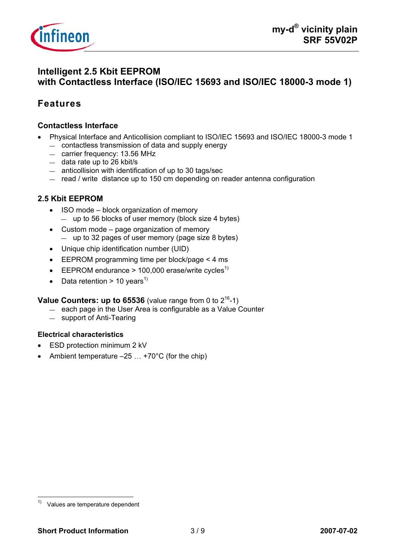

## **Intelligent 2.5 Kbit EEPROM with Contactless Interface (ISO/IEC 15693 and ISO/IEC 18000-3 mode 1)**

## **Features**

#### **Contactless Interface**

- Physical Interface and Anticollision compliant to ISO/IEC 15693 and ISO/IEC 18000-3 mode 1 — contactless transmission of data and supply energy
	- carrier frequency: 13.56 MHz
	- data rate up to 26 kbit/s
	- anticollision with identification of up to 30 tags/sec
	- read / write distance up to 150 cm depending on reader antenna configuration

#### **2.5 Kbit EEPROM**

- ISO mode block organization of memory — up to 56 blocks of user memory (block size 4 bytes)
- Custom mode page organization of memory — up to 32 pages of user memory (page size 8 bytes)
- Unique chip identification number (UID)
- EEPROM programming time per block/page < 4 ms
- EEPROM endurance > 100,000 erase/write cycles<sup>1)</sup>
- Data retention > 10 years<sup>1)</sup>

#### **Value Counters: up to 65536** (value range from 0 to  $2^{16}$ -1)

- each page in the User Area is configurable as a Value Counter
- support of Anti-Tearing

#### **Electrical characteristics**

- ESD protection minimum 2 kV
- Ambient temperature  $-25$   $\dots$  +70°C (for the chip)

 $1)$ Values are temperature dependent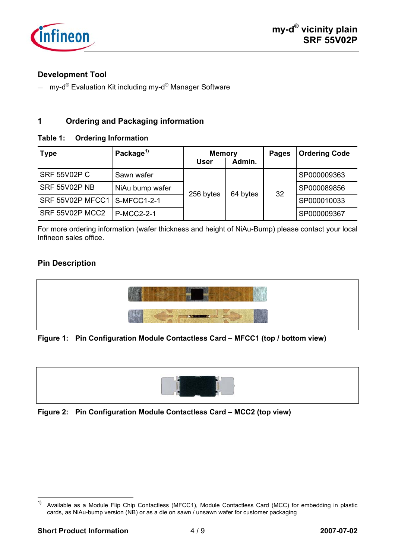

### **Development Tool**

 $-$  my-d<sup>®</sup> Evaluation Kit including my-d<sup>®</sup> Manager Software

### **1 Ordering and Packaging information**

#### **Table 1: Ordering Information**

| <b>Type</b>                  | Package <sup>1)</sup> | <b>Memory</b><br><b>User</b> | Admin.   | <b>Pages</b> | <b>Ordering Code</b> |
|------------------------------|-----------------------|------------------------------|----------|--------------|----------------------|
| <b>SRF 55V02P C</b>          | Sawn wafer            |                              |          |              | SP000009363          |
| <b>SRF 55V02P NB</b>         | NiAu bump wafer       | 256 bytes                    | 64 bytes | 32           | SP000089856          |
| SRF 55V02P MFCC1 S-MFCC1-2-1 |                       |                              |          |              | SP000010033          |
| SRF 55V02P MCC2              | <b>P-MCC2-2-1</b>     |                              |          |              | SP000009367          |

For more ordering information (wafer thickness and height of NiAu-Bump) please contact your local Infineon sales office.

### **Pin Description**



#### **Figure 1: Pin Configuration Module Contactless Card – MFCC1 (top / bottom view)**



**Figure 2: Pin Configuration Module Contactless Card – MCC2 (top view)** 

 $1)$ Available as a Module Flip Chip Contactless (MFCC1), Module Contactless Card (MCC) for embedding in plastic cards, as NiAu-bump version (NB) or as a die on sawn / unsawn wafer for customer packaging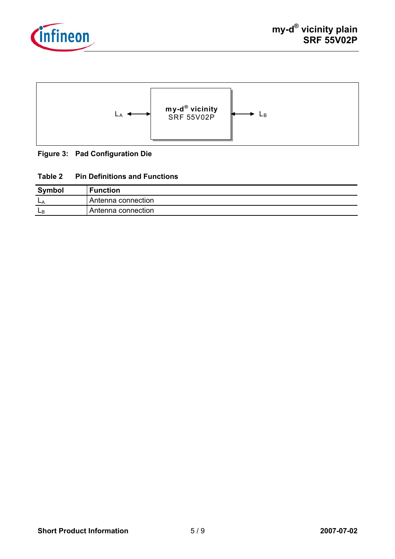



#### **Figure 3: Pad Configuration Die**

#### **Table 2 Pin Definitions and Functions**

| <b>Symbol</b> | <b>Function</b>    |
|---------------|--------------------|
| <b>L</b>      | Antenna connection |
| ЩP            | Antenna connection |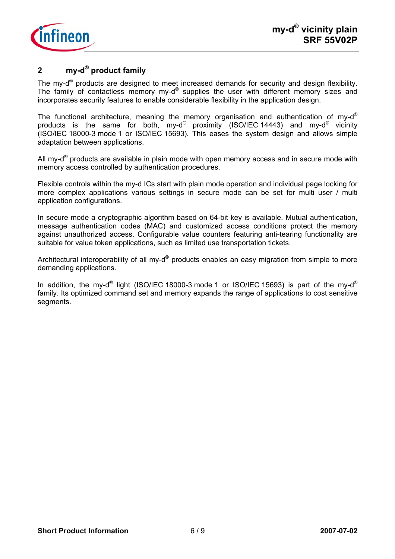

## **2 my-d® product family**

The my-d<sup>®</sup> products are designed to meet increased demands for security and design flexibility. The family of contactless memory my-d® supplies the user with different memory sizes and incorporates security features to enable considerable flexibility in the application design.

The functional architecture, meaning the memory organisation and authentication of my-d<sup>®</sup> products is the same for both, my-d® proximity (ISO/IEC 14443) and my-d® vicinity (ISO/IEC 18000-3 mode 1 or ISO/IEC 15693). This eases the system design and allows simple adaptation between applications.

All my- $d^{\circ}$  products are available in plain mode with open memory access and in secure mode with memory access controlled by authentication procedures.

Flexible controls within the my-d ICs start with plain mode operation and individual page locking for more complex applications various settings in secure mode can be set for multi user / multi application configurations.

In secure mode a cryptographic algorithm based on 64-bit key is available. Mutual authentication, message authentication codes (MAC) and customized access conditions protect the memory against unauthorized access. Configurable value counters featuring anti-tearing functionality are suitable for value token applications, such as limited use transportation tickets.

Architectural interoperability of all my- $d^{\circledast}$  products enables an easy migration from simple to more demanding applications.

In addition, the my-d<sup>®</sup> light (ISO/IEC 18000-3 mode 1 or ISO/IEC 15693) is part of the my-d<sup>®</sup> family. Its optimized command set and memory expands the range of applications to cost sensitive segments.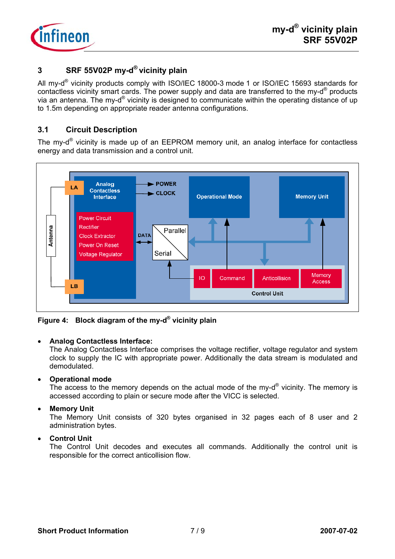

## **3 SRF 55V02P my-d® vicinity plain**

All my-d<sup>®</sup> vicinity products comply with ISO/IEC 18000-3 mode 1 or ISO/IEC 15693 standards for contactless vicinity smart cards. The power supply and data are transferred to the my-d® products via an antenna. The my-d® vicinity is designed to communicate within the operating distance of up to 1.5m depending on appropriate reader antenna configurations.

### **3.1 Circuit Description**

The my-d® vicinity is made up of an EEPROM memory unit, an analog interface for contactless energy and data transmission and a control unit.



**Figure 4: Block diagram of the my-d® vicinity plain** 

#### • **Analog Contactless Interface:**

The Analog Contactless Interface comprises the voltage rectifier, voltage regulator and system clock to supply the IC with appropriate power. Additionally the data stream is modulated and demodulated.

#### • **Operational mode**

The access to the memory depends on the actual mode of the my- $d^{\circledR}$  vicinity. The memory is accessed according to plain or secure mode after the VICC is selected.

#### • **Memory Unit**

The Memory Unit consists of 320 bytes organised in 32 pages each of 8 user and 2 administration bytes.

#### • **Control Unit**

The Control Unit decodes and executes all commands. Additionally the control unit is responsible for the correct anticollision flow.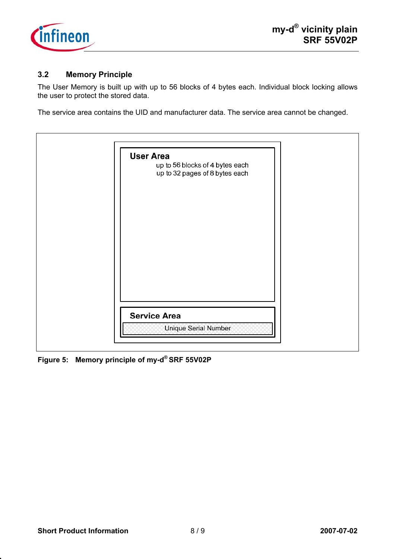

### **3.2 Memory Principle**

The User Memory is built up with up to 56 blocks of 4 bytes each. Individual block locking allows the user to protect the stored data.

The service area contains the UID and manufacturer data. The service area cannot be changed.

| <b>User Area</b>                                                  |
|-------------------------------------------------------------------|
| up to 56 blocks of 4 bytes each<br>up to 32 pages of 8 bytes each |
| <b>Service Area</b>                                               |
|                                                                   |

**Figure 5: Memory principle of my-d® SRF 55V02P**